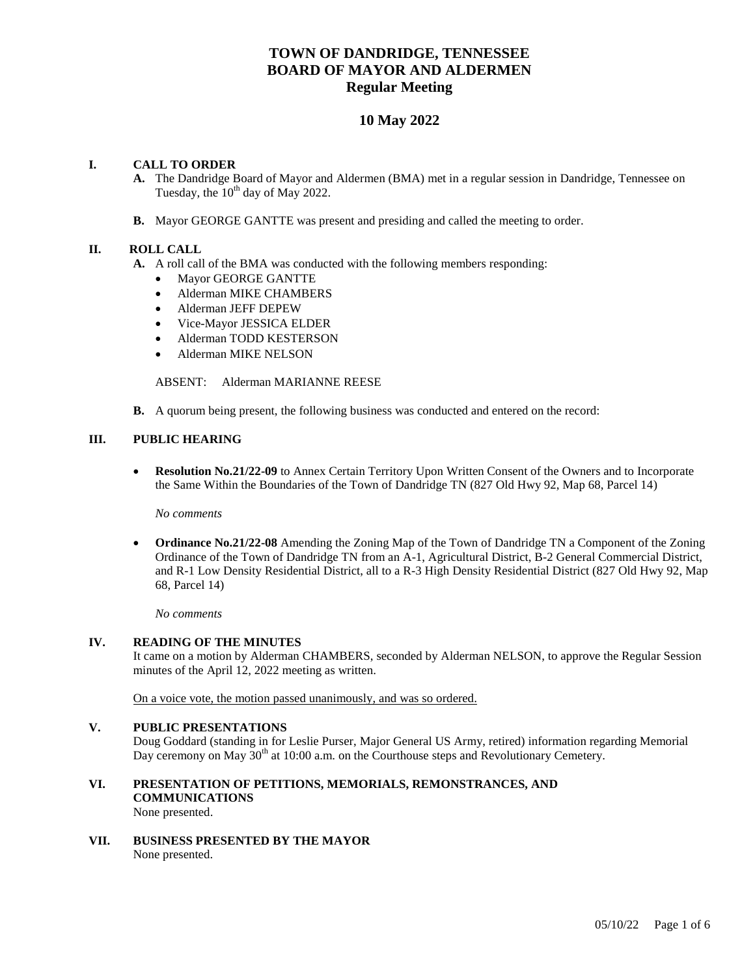# **TOWN OF DANDRIDGE, TENNESSEE BOARD OF MAYOR AND ALDERMEN Regular Meeting**

## **10 May 2022**

## **I. CALL TO ORDER**

- **A.** The Dandridge Board of Mayor and Aldermen (BMA) met in a regular session in Dandridge, Tennessee on Tuesday, the  $10^{th}$  day of May 2022.
- **B.** Mayor GEORGE GANTTE was present and presiding and called the meeting to order.

## **II. ROLL CALL**

- **A.** A roll call of the BMA was conducted with the following members responding:
	- Mayor GEORGE GANTTE
	- Alderman MIKE CHAMBERS
	- Alderman JEFF DEPEW
	- Vice-Mayor JESSICA ELDER
	- Alderman TODD KESTERSON
	- Alderman MIKE NELSON

ABSENT: Alderman MARIANNE REESE

**B.** A quorum being present, the following business was conducted and entered on the record:

## **III. PUBLIC HEARING**

 **Resolution No.21/22-09** to Annex Certain Territory Upon Written Consent of the Owners and to Incorporate the Same Within the Boundaries of the Town of Dandridge TN (827 Old Hwy 92, Map 68, Parcel 14)

*No comments*

 **Ordinance No.21/22-08** Amending the Zoning Map of the Town of Dandridge TN a Component of the Zoning Ordinance of the Town of Dandridge TN from an A-1, Agricultural District, B-2 General Commercial District, and R-1 Low Density Residential District, all to a R-3 High Density Residential District (827 Old Hwy 92, Map 68, Parcel 14)

*No comments*

## **IV. READING OF THE MINUTES**

It came on a motion by Alderman CHAMBERS, seconded by Alderman NELSON, to approve the Regular Session minutes of the April 12, 2022 meeting as written.

On a voice vote, the motion passed unanimously, and was so ordered.

## **V. PUBLIC PRESENTATIONS**

Doug Goddard (standing in for Leslie Purser, Major General US Army, retired) information regarding Memorial Day ceremony on May  $30<sup>th</sup>$  at 10:00 a.m. on the Courthouse steps and Revolutionary Cemetery.

**VI. PRESENTATION OF PETITIONS, MEMORIALS, REMONSTRANCES, AND COMMUNICATIONS**

None presented.

**VII. BUSINESS PRESENTED BY THE MAYOR** None presented.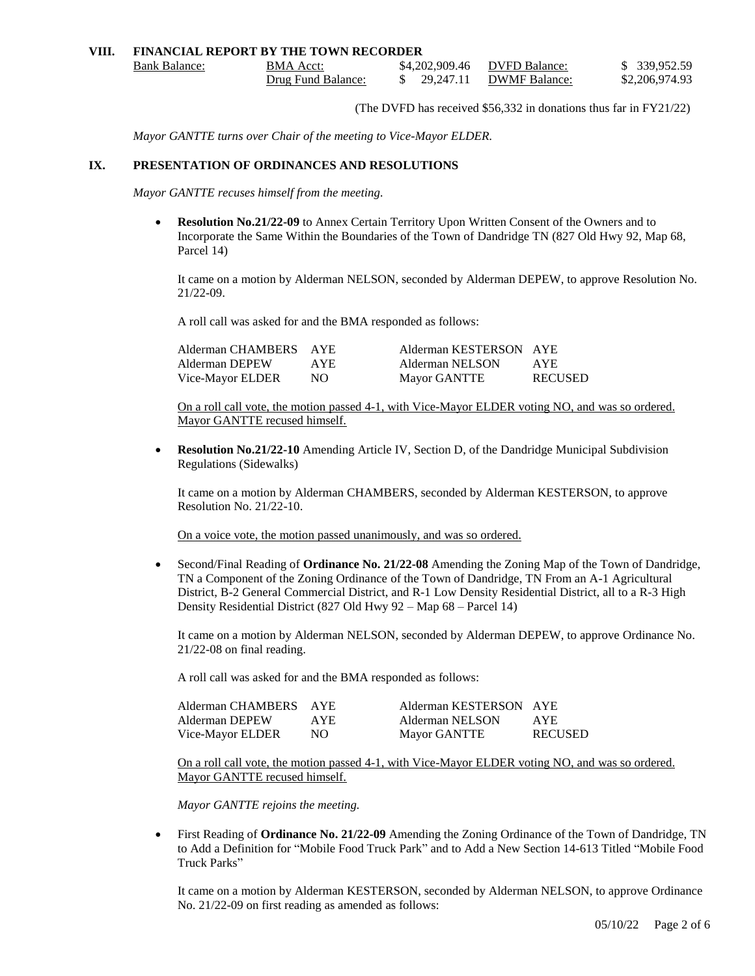#### **VIII. FINANCIAL REPORT BY THE TOWN RECORDER** Bank Balance: BMA Acct: \$4,202,909.46 DVFD Balance: \$ 339,952.59 Drug Fund Balance: \$ 29,247.11 DWMF Balance: \$2,206,974.93

(The DVFD has received \$56,332 in donations thus far in FY21/22)

*Mayor GANTTE turns over Chair of the meeting to Vice-Mayor ELDER.*

#### **IX. PRESENTATION OF ORDINANCES AND RESOLUTIONS**

*Mayor GANTTE recuses himself from the meeting.*

 **Resolution No.21/22-09** to Annex Certain Territory Upon Written Consent of the Owners and to Incorporate the Same Within the Boundaries of the Town of Dandridge TN (827 Old Hwy 92, Map 68, Parcel 14)

It came on a motion by Alderman NELSON, seconded by Alderman DEPEW, to approve Resolution No. 21/22-09.

A roll call was asked for and the BMA responded as follows:

| Alderman CHAMBERS AYE |            | Alderman KESTERSON AYE |                |
|-----------------------|------------|------------------------|----------------|
| Alderman DEPEW        | <b>AYE</b> | Alderman NELSON        | AYE.           |
| Vice-Mayor ELDER      | NO.        | <b>Mayor GANTTE</b>    | <b>RECUSED</b> |

On a roll call vote, the motion passed 4-1, with Vice-Mayor ELDER voting NO, and was so ordered. Mayor GANTTE recused himself.

 **Resolution No.21/22-10** Amending Article IV, Section D, of the Dandridge Municipal Subdivision Regulations (Sidewalks)

It came on a motion by Alderman CHAMBERS, seconded by Alderman KESTERSON, to approve Resolution No. 21/22-10.

On a voice vote, the motion passed unanimously, and was so ordered.

 Second/Final Reading of **Ordinance No. 21/22-08** Amending the Zoning Map of the Town of Dandridge, TN a Component of the Zoning Ordinance of the Town of Dandridge, TN From an A-1 Agricultural District, B-2 General Commercial District, and R-1 Low Density Residential District, all to a R-3 High Density Residential District (827 Old Hwy 92 – Map 68 – Parcel 14)

It came on a motion by Alderman NELSON, seconded by Alderman DEPEW, to approve Ordinance No. 21/22-08 on final reading.

A roll call was asked for and the BMA responded as follows:

| Alderman CHAMBERS AYE |      | Alderman KESTERSON AYE |                |
|-----------------------|------|------------------------|----------------|
| Alderman DEPEW        | AYE. | Alderman NELSON        | AYE.           |
| Vice-Mayor ELDER      | NO.  | <b>Mayor GANTTE</b>    | <b>RECUSED</b> |

On a roll call vote, the motion passed 4-1, with Vice-Mayor ELDER voting NO, and was so ordered. Mayor GANTTE recused himself.

*Mayor GANTTE rejoins the meeting.*

 First Reading of **Ordinance No. 21/22-09** Amending the Zoning Ordinance of the Town of Dandridge, TN to Add a Definition for "Mobile Food Truck Park" and to Add a New Section 14-613 Titled "Mobile Food Truck Parks"

It came on a motion by Alderman KESTERSON, seconded by Alderman NELSON, to approve Ordinance No. 21/22-09 on first reading as amended as follows: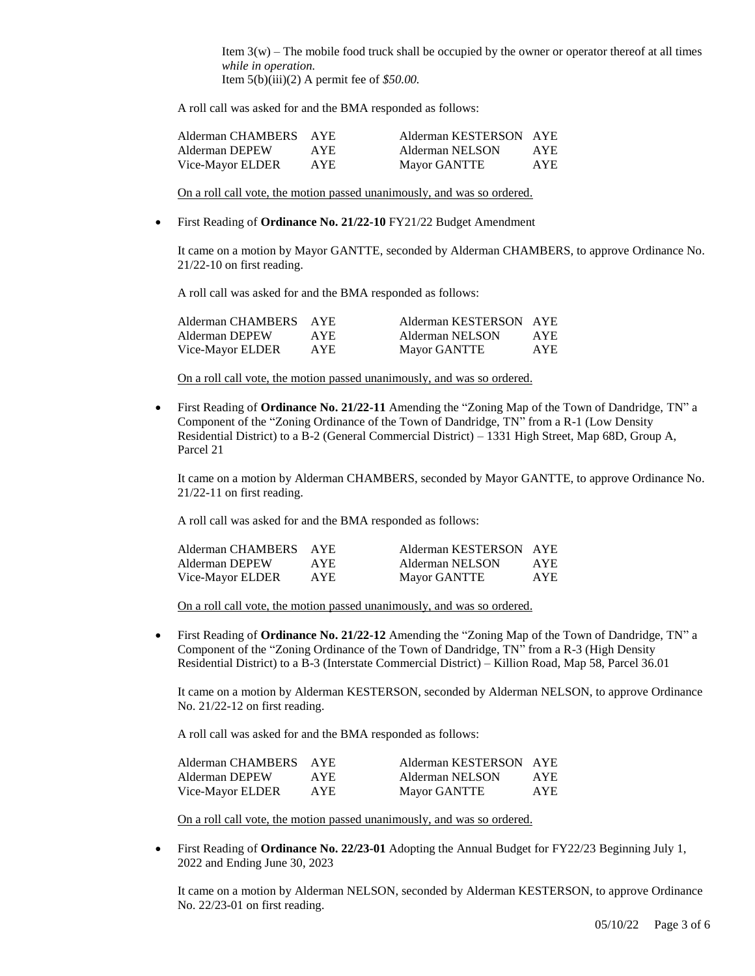Item  $3(w)$  – The mobile food truck shall be occupied by the owner or operator thereof at all times *while in operation.* Item 5(b)(iii)(2) A permit fee of *\$50.00.*

A roll call was asked for and the BMA responded as follows:

| Alderman CHAMBERS AYE |      | Alderman KESTERSON AYE |            |
|-----------------------|------|------------------------|------------|
| Alderman DEPEW        | AYE. | Alderman NELSON        | AYE.       |
| Vice-Mayor ELDER      | AYE. | Mayor GANTTE           | <b>AYE</b> |

On a roll call vote, the motion passed unanimously, and was so ordered.

First Reading of **Ordinance No. 21/22-10** FY21/22 Budget Amendment

It came on a motion by Mayor GANTTE, seconded by Alderman CHAMBERS, to approve Ordinance No. 21/22-10 on first reading.

A roll call was asked for and the BMA responded as follows:

| Alderman CHAMBERS | AYE.       | Alderman KESTERSON AYE |            |
|-------------------|------------|------------------------|------------|
| Alderman DEPEW    | AYE.       | Alderman NELSON        | AYE.       |
| Vice-Mayor ELDER  | <b>AYE</b> | Mayor GANTTE           | <b>AYE</b> |

On a roll call vote, the motion passed unanimously, and was so ordered.

 First Reading of **Ordinance No. 21/22-11** Amending the "Zoning Map of the Town of Dandridge, TN" a Component of the "Zoning Ordinance of the Town of Dandridge, TN" from a R-1 (Low Density Residential District) to a B-2 (General Commercial District) – 1331 High Street, Map 68D, Group A, Parcel 21

It came on a motion by Alderman CHAMBERS, seconded by Mayor GANTTE, to approve Ordinance No. 21/22-11 on first reading.

A roll call was asked for and the BMA responded as follows:

| Alderman CHAMBERS AYE |      | Alderman KESTERSON AYE |            |
|-----------------------|------|------------------------|------------|
| Alderman DEPEW        | AYE. | Alderman NELSON        | <b>AYE</b> |
| Vice-Mayor ELDER      | AYE  | <b>Mayor GANTTE</b>    | AYE.       |

On a roll call vote, the motion passed unanimously, and was so ordered.

 First Reading of **Ordinance No. 21/22-12** Amending the "Zoning Map of the Town of Dandridge, TN" a Component of the "Zoning Ordinance of the Town of Dandridge, TN" from a R-3 (High Density Residential District) to a B-3 (Interstate Commercial District) – Killion Road, Map 58, Parcel 36.01

It came on a motion by Alderman KESTERSON, seconded by Alderman NELSON, to approve Ordinance No. 21/22-12 on first reading.

A roll call was asked for and the BMA responded as follows:

| Alderman CHAMBERS AYE |            | Alderman KESTERSON AYE |            |
|-----------------------|------------|------------------------|------------|
| Alderman DEPEW        | AYE.       | Alderman NELSON        | <b>AYE</b> |
| Vice-Mayor ELDER      | <b>AYE</b> | <b>Mayor GANTTE</b>    | AYE.       |

On a roll call vote, the motion passed unanimously, and was so ordered.

 First Reading of **Ordinance No. 22/23-01** Adopting the Annual Budget for FY22/23 Beginning July 1, 2022 and Ending June 30, 2023

It came on a motion by Alderman NELSON, seconded by Alderman KESTERSON, to approve Ordinance No. 22/23-01 on first reading.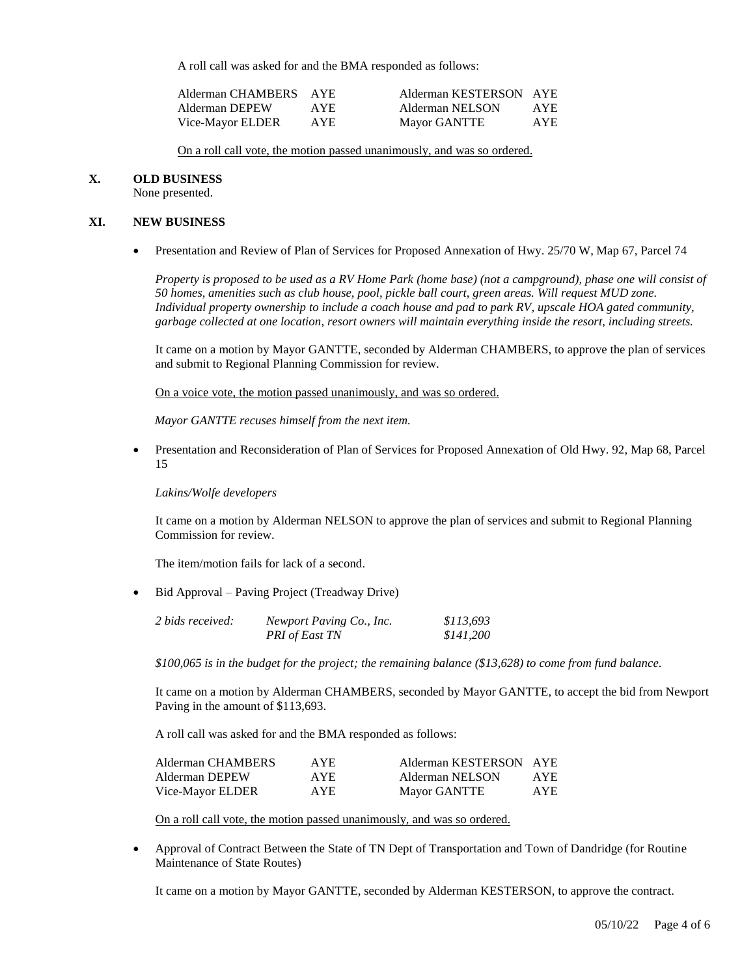A roll call was asked for and the BMA responded as follows:

| Alderman CHAMBERS AYE |      | Alderman KESTERSON AYE |            |
|-----------------------|------|------------------------|------------|
| Alderman DEPEW        | AYE. | Alderman NELSON        | <b>AYE</b> |
| Vice-Mayor ELDER      | AYE. | <b>Mayor GANTTE</b>    | <b>AYE</b> |

On a roll call vote, the motion passed unanimously, and was so ordered.

#### **X. OLD BUSINESS**

None presented.

#### **XI. NEW BUSINESS**

Presentation and Review of Plan of Services for Proposed Annexation of Hwy. 25/70 W, Map 67, Parcel 74

*Property is proposed to be used as a RV Home Park (home base) (not a campground), phase one will consist of 50 homes, amenities such as club house, pool, pickle ball court, green areas. Will request MUD zone. Individual property ownership to include a coach house and pad to park RV, upscale HOA gated community, garbage collected at one location, resort owners will maintain everything inside the resort, including streets.* 

It came on a motion by Mayor GANTTE, seconded by Alderman CHAMBERS, to approve the plan of services and submit to Regional Planning Commission for review.

On a voice vote, the motion passed unanimously, and was so ordered.

 *Mayor GANTTE recuses himself from the next item.* 

 Presentation and Reconsideration of Plan of Services for Proposed Annexation of Old Hwy. 92, Map 68, Parcel 15

*Lakins/Wolfe developers*

It came on a motion by Alderman NELSON to approve the plan of services and submit to Regional Planning Commission for review.

The item/motion fails for lack of a second.

• Bid Approval – Paving Project (Treadway Drive)

| 2 bids received: | Newport Paving Co., Inc. | \$113,693 |
|------------------|--------------------------|-----------|
|                  | PRI of East TN           | \$141,200 |

*\$100,065 is in the budget for the project; the remaining balance (\$13,628) to come from fund balance.* 

It came on a motion by Alderman CHAMBERS, seconded by Mayor GANTTE, to accept the bid from Newport Paving in the amount of \$113,693.

A roll call was asked for and the BMA responded as follows:

| Alderman CHAMBERS | AYE. | Alderman KESTERSON AYE |      |
|-------------------|------|------------------------|------|
| Alderman DEPEW    | AYE. | Alderman NELSON        | AYE. |
| Vice-Mayor ELDER  | AYE. | <b>Mayor GANTTE</b>    | AYE. |

On a roll call vote, the motion passed unanimously, and was so ordered.

 Approval of Contract Between the State of TN Dept of Transportation and Town of Dandridge (for Routine Maintenance of State Routes)

It came on a motion by Mayor GANTTE, seconded by Alderman KESTERSON, to approve the contract.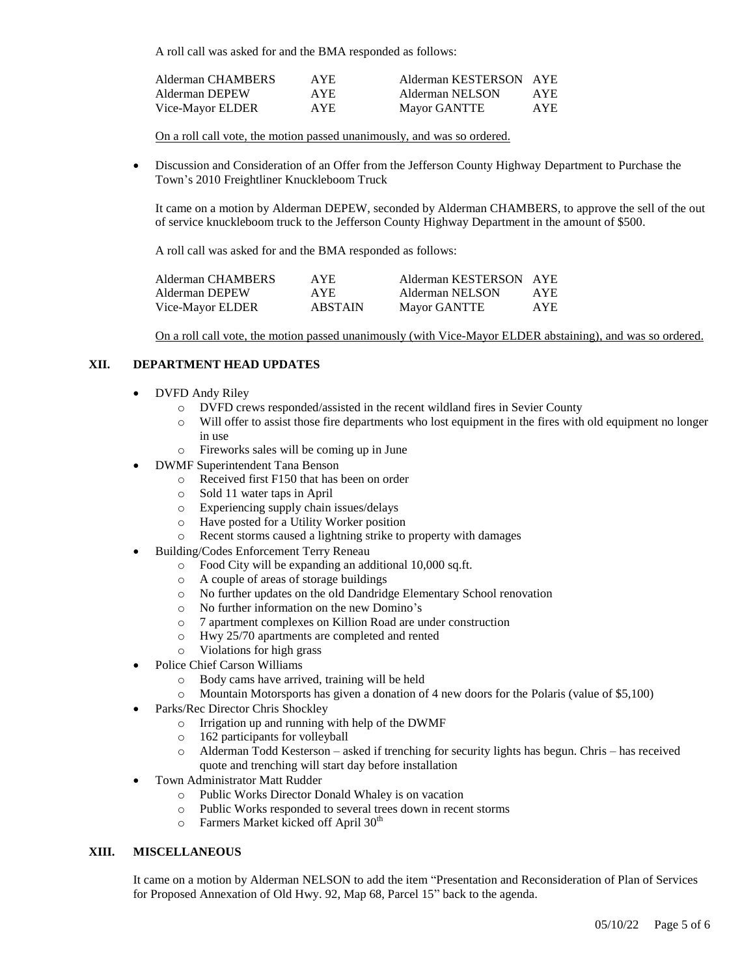A roll call was asked for and the BMA responded as follows:

| Alderman CHAMBERS | AYE. | Alderman KESTERSON AYE |            |
|-------------------|------|------------------------|------------|
| Alderman DEPEW    | AYE. | Alderman NELSON        | <b>AYE</b> |
| Vice-Mayor ELDER  | AYE. | <b>Mayor GANTTE</b>    | <b>AYE</b> |

On a roll call vote, the motion passed unanimously, and was so ordered.

 Discussion and Consideration of an Offer from the Jefferson County Highway Department to Purchase the Town's 2010 Freightliner Knuckleboom Truck

It came on a motion by Alderman DEPEW, seconded by Alderman CHAMBERS, to approve the sell of the out of service knuckleboom truck to the Jefferson County Highway Department in the amount of \$500.

A roll call was asked for and the BMA responded as follows:

| Alderman CHAMBERS | AYE.           | Alderman KESTERSON AYE |            |
|-------------------|----------------|------------------------|------------|
| Alderman DEPEW    | AYE.           | Alderman NELSON        | AYE.       |
| Vice-Mayor ELDER  | <b>ABSTAIN</b> | <b>Mayor GANTTE</b>    | <b>AYE</b> |

On a roll call vote, the motion passed unanimously (with Vice-Mayor ELDER abstaining), and was so ordered.

## **XII. DEPARTMENT HEAD UPDATES**

- DVFD Andy Riley
	- o DVFD crews responded/assisted in the recent wildland fires in Sevier County
	- o Will offer to assist those fire departments who lost equipment in the fires with old equipment no longer in use
	- o Fireworks sales will be coming up in June
- DWMF Superintendent Tana Benson
	- o Received first F150 that has been on order
	- o Sold 11 water taps in April
	- o Experiencing supply chain issues/delays
	- o Have posted for a Utility Worker position
	- o Recent storms caused a lightning strike to property with damages
- Building/Codes Enforcement Terry Reneau
	- o Food City will be expanding an additional 10,000 sq.ft.
	- o A couple of areas of storage buildings
	- o No further updates on the old Dandridge Elementary School renovation
	- o No further information on the new Domino's
	- o 7 apartment complexes on Killion Road are under construction
	- o Hwy 25/70 apartments are completed and rented
	- o Violations for high grass
- Police Chief Carson Williams
	- o Body cams have arrived, training will be held
	- o Mountain Motorsports has given a donation of 4 new doors for the Polaris (value of \$5,100)
- Parks/Rec Director Chris Shockley
	- o Irrigation up and running with help of the DWMF
	- o 162 participants for volleyball
	- o Alderman Todd Kesterson asked if trenching for security lights has begun. Chris has received quote and trenching will start day before installation
- Town Administrator Matt Rudder
	- o Public Works Director Donald Whaley is on vacation
	- o Public Works responded to several trees down in recent storms
	- $\circ$  Farmers Market kicked off April 30<sup>th</sup>

#### **XIII. MISCELLANEOUS**

It came on a motion by Alderman NELSON to add the item "Presentation and Reconsideration of Plan of Services for Proposed Annexation of Old Hwy. 92, Map 68, Parcel 15" back to the agenda.